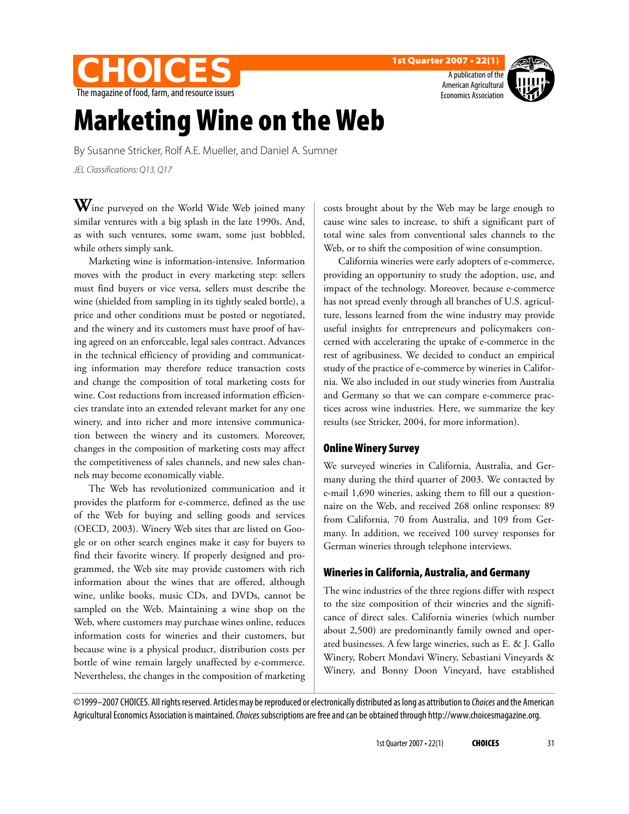**CHOICES** The magazine of food, farm, and resource issues 1st Quarter 2007 • 22(1)

A publication of the American Agricultural Economics Association



# Marketing Wine on the Web

By Susanne Stricker, Rolf A.E. Mueller, and Daniel A. Sumner JEL Classifications: Q13, Q17

Wine purveyed on the World Wide Web joined many similar ventures with a big splash in the late 1990s. And, as with such ventures, some swam, some just bobbled, while others simply sank.

Marketing wine is information-intensive. Information moves with the product in every marketing step: sellers must find buyers or vice versa*,* sellers must describe the wine (shielded from sampling in its tightly sealed bottle), a price and other conditions must be posted or negotiated, and the winery and its customers must have proof of having agreed on an enforceable, legal sales contract. Advances in the technical efficiency of providing and communicating information may therefore reduce transaction costs and change the composition of total marketing costs for wine. Cost reductions from increased information efficiencies translate into an extended relevant market for any one winery, and into richer and more intensive communication between the winery and its customers. Moreover, changes in the composition of marketing costs may affect the competitiveness of sales channels, and new sales channels may become economically viable.

The Web has revolutionized communication and it provides the platform for e-commerce, defined as the use of the Web for buying and selling goods and services (OECD, 2003). Winery Web sites that are listed on Google or on other search engines make it easy for buyers to find their favorite winery. If properly designed and programmed, the Web site may provide customers with rich information about the wines that are offered, although wine, unlike books, music CDs, and DVDs, cannot be sampled on the Web. Maintaining a wine shop on the Web, where customers may purchase wines online, reduces information costs for wineries and their customers, but because wine is a physical product, distribution costs per bottle of wine remain largely unaffected by e-commerce. Nevertheless, the changes in the composition of marketing

costs brought about by the Web may be large enough to cause wine sales to increase, to shift a significant part of total wine sales from conventional sales channels to the Web, or to shift the composition of wine consumption.

California wineries were early adopters of e-commerce, providing an opportunity to study the adoption, use, and impact of the technology. Moreover, because e-commerce has not spread evenly through all branches of U.S. agriculture, lessons learned from the wine industry may provide useful insights for entrepreneurs and policymakers concerned with accelerating the uptake of e-commerce in the rest of agribusiness. We decided to conduct an empirical study of the practice of e-commerce by wineries in California. We also included in our study wineries from Australia and Germany so that we can compare e-commerce practices across wine industries. Here, we summarize the key results (see Stricker, 2004, for more information).

### Online Winery Survey

We surveyed wineries in California, Australia, and Germany during the third quarter of 2003. We contacted by e-mail 1,690 wineries, asking them to fill out a questionnaire on the Web, and received 268 online responses: 89 from California, 70 from Australia, and 109 from Germany. In addition, we received 100 survey responses for German wineries through telephone interviews.

# Wineries in California, Australia, and Germany

The wine industries of the three regions differ with respect to the size composition of their wineries and the significance of direct sales. California wineries (which number about 2,500) are predominantly family owned and operated businesses. A few large wineries, such as E. & J. Gallo Winery, Robert Mondavi Winery, Sebastiani Vineyards & Winery, and Bonny Doon Vineyard, have established

©1999–2007 CHOICES. All rights reserved. Articles may be reproduced or electronically distributed as long as attribution to Choices and the American Agricultural Economics Association is maintained. Choices subscriptions are free and can be obtained through http://www.choicesmagazine.org.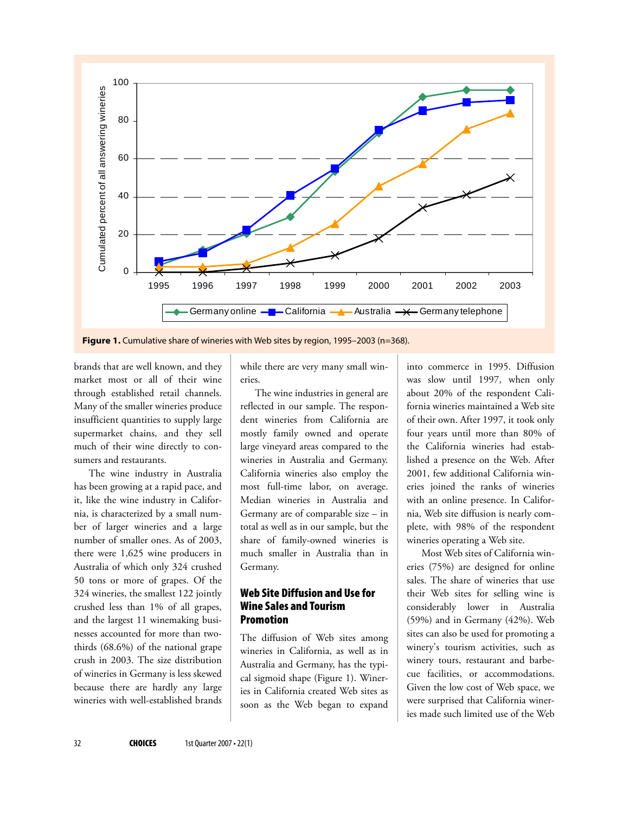

Figure 1. Cumulative share of wineries with Web sites by region, 1995-2003 (n=368).

brands that are well known, and they market most or all of their wine through established retail channels. Many of the smaller wineries produce insufficient quantities to supply large supermarket chains, and they sell much of their wine directly to consumers and restaurants.

The wine industry in Australia has been growing at a rapid pace, and it, like the wine industry in California, is characterized by a small number of larger wineries and a large number of smaller ones. As of 2003, there were 1,625 wine producers in Australia of which only 324 crushed 50 tons or more of grapes. Of the 324 wineries, the smallest 122 jointly crushed less than 1% of all grapes, and the largest 11 winemaking businesses accounted for more than twothirds (68.6%) of the national grape crush in 2003. The size distribution of wineries in Germany is less skewed because there are hardly any large wineries with well-established brands

while there are very many small wineries.

The wine industries in general are reflected in our sample. The respondent wineries from California are mostly family owned and operate large vineyard areas compared to the wineries in Australia and Germany. California wineries also employ the most full-time labor, on average. Median wineries in Australia and Germany are of comparable size – in total as well as in our sample, but the share of family-owned wineries is much smaller in Australia than in Germany.

## Web Site Diffusion and Use for Wine Sales and Tourism Promotion

The diffusion of Web sites among wineries in California, as well as in Australia and Germany, has the typical sigmoid shape (Figure 1). Wineries in California created Web sites as soon as the Web began to expand

into commerce in 1995. Diffusion was slow until 1997, when only about 20% of the respondent California wineries maintained a Web site of their own. After 1997, it took only four years until more than 80% of the California wineries had established a presence on the Web. After 2001, few additional California wineries joined the ranks of wineries with an online presence. In California, Web site diffusion is nearly complete, with 98% of the respondent wineries operating a Web site.

Most Web sites of California wineries (75%) are designed for online sales. The share of wineries that use their Web sites for selling wine is considerably lower in Australia (59%) and in Germany (42%). Web sites can also be used for promoting a winery's tourism activities, such as winery tours, restaurant and barbecue facilities, or accommodations. Given the low cost of Web space, we were surprised that California wineries made such limited use of the Web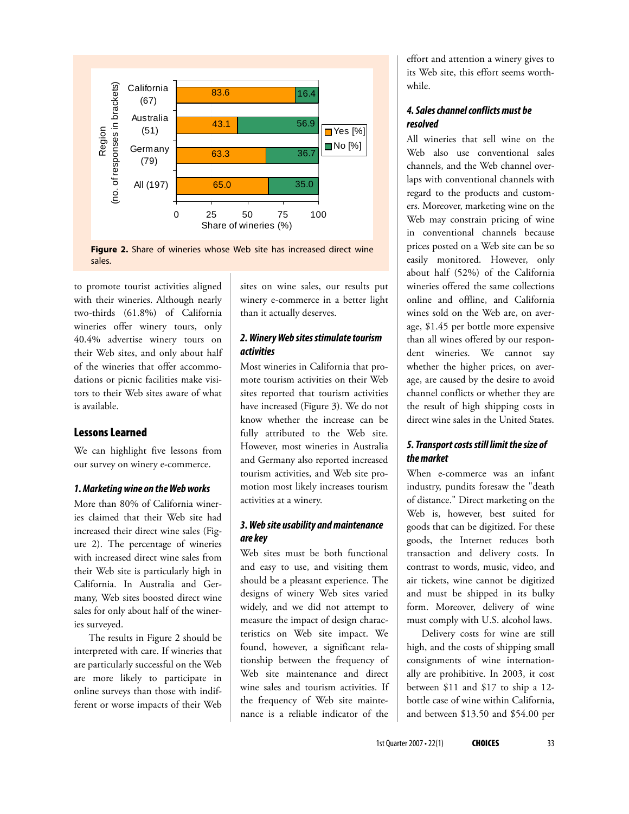

**Figure 2.** Share of wineries whose Web site has increased direct wine sales.

to promote tourist activities aligned with their wineries. Although nearly two-thirds (61.8%) of California wineries offer winery tours, only 40.4% advertise winery tours on their Web sites, and only about half of the wineries that offer accommodations or picnic facilities make visitors to their Web sites aware of what is available.

#### Lessons Learned

We can highlight five lessons from our survey on winery e-commerce.

#### **1. Marketing wine on the Web works**

More than 80% of California wineries claimed that their Web site had increased their direct wine sales (Figure 2). The percentage of wineries with increased direct wine sales from their Web site is particularly high in California. In Australia and Germany, Web sites boosted direct wine sales for only about half of the wineries surveyed.

The results in Figure 2 should be interpreted with care. If wineries that are particularly successful on the Web are more likely to participate in online surveys than those with indifferent or worse impacts of their Web sites on wine sales, our results put winery e-commerce in a better light than it actually deserves.

### **2. Winery Web sites stimulate tourism activities**

Most wineries in California that promote tourism activities on their Web sites reported that tourism activities have increased (Figure 3). We do not know whether the increase can be fully attributed to the Web site. However, most wineries in Australia and Germany also reported increased tourism activities, and Web site promotion most likely increases tourism activities at a winery.

#### **3. Web site usability and maintenance are key**

Web sites must be both functional and easy to use, and visiting them should be a pleasant experience. The designs of winery Web sites varied widely, and we did not attempt to measure the impact of design characteristics on Web site impact. We found, however, a significant relationship between the frequency of Web site maintenance and direct wine sales and tourism activities. If the frequency of Web site maintenance is a reliable indicator of the

effort and attention a winery gives to its Web site, this effort seems worthwhile.

#### **4. Sales channel conflicts must be resolved**

All wineries that sell wine on the Web also use conventional sales channels, and the Web channel overlaps with conventional channels with regard to the products and customers. Moreover, marketing wine on the Web may constrain pricing of wine in conventional channels because prices posted on a Web site can be so easily monitored. However, only about half (52%) of the California wineries offered the same collections online and offline, and California wines sold on the Web are, on average, \$1.45 per bottle more expensive than all wines offered by our respondent wineries. We cannot say whether the higher prices, on average, are caused by the desire to avoid channel conflicts or whether they are the result of high shipping costs in direct wine sales in the United States.

### **5. Transport costs still limit the size of the market**

When e-commerce was an infant industry, pundits foresaw the "death of distance." Direct marketing on the Web is, however, best suited for goods that can be digitized. For these goods, the Internet reduces both transaction and delivery costs. In contrast to words, music, video, and air tickets, wine cannot be digitized and must be shipped in its bulky form. Moreover, delivery of wine must comply with U.S. alcohol laws.

Delivery costs for wine are still high, and the costs of shipping small consignments of wine internationally are prohibitive. In 2003, it cost between \$11 and \$17 to ship a 12 bottle case of wine within California, and between \$13.50 and \$54.00 per